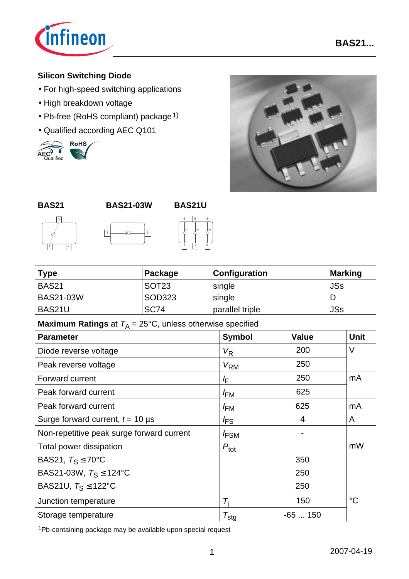

# **Silicon Switching Diode**

- For high-speed switching applications
- High breakdown voltage
- Pb-free (RoHS compliant) package<sup>1)</sup>
- 











| <b>Type</b>      | Package           | <b>Configuration</b> | <b>Marking</b> |
|------------------|-------------------|----------------------|----------------|
| <b>BAS21</b>     | SOT <sub>23</sub> | single               | <b>JSs</b>     |
| <b>BAS21-03W</b> | SOD323            | single               |                |
| BAS21U           | <b>SC74</b>       | parallel triple      | <b>JSs</b>     |

**Maximum Ratings** at  $T_A = 25^{\circ}C$ , unless otherwise specified

| <b>Parameter</b>                          | <b>Symbol</b>       | <b>Value</b>   | <b>Unit</b> |
|-------------------------------------------|---------------------|----------------|-------------|
| Diode reverse voltage                     | $V_{\mathsf{R}}$    | 200            | $\vee$      |
| Peak reverse voltage                      | $V_{\rm RM}$        | 250            |             |
| <b>Forward current</b>                    | ΙF                  | 250            | mA          |
| Peak forward current                      | <sup>I</sup> FM     | 625            |             |
| Peak forward current                      | <sup>I</sup> FM     | 625            | mA          |
| Surge forward current, $t = 10 \,\mu s$   | <sup>I</sup> FS     | $\overline{4}$ | A           |
| Non-repetitive peak surge forward current | <b>FSM</b>          | $\blacksquare$ |             |
| Total power dissipation                   | $P_{\text{tot}}$    |                | mW          |
| BAS21, $T_S \le 70^{\circ}$ C             |                     | 350            |             |
| BAS21-03W, $T_S \le 124$ °C               |                     | 250            |             |
| BAS21U, $T_S \leq 122^{\circ}C$           |                     | 250            |             |
| Junction temperature                      | T.                  | 150            | $^{\circ}C$ |
| Storage temperature                       | $\tau_{\text{sta}}$ | $-65150$       |             |

1Pb-containing package may be available upon special request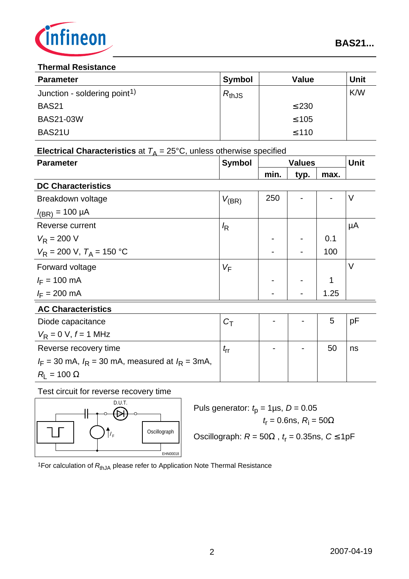

#### **Thermal Resistance**

| <b>Parameter</b>                         | <b>Symbol</b> | <b>Value</b> | <b>Unit</b> |
|------------------------------------------|---------------|--------------|-------------|
| Junction - soldering point <sup>1)</sup> | $R_{thJS}$    |              | K/W         |
| <b>BAS21</b>                             |               | $\leq$ 230   |             |
| <b>BAS21-03W</b>                         |               | $\leq 105$   |             |
| BAS21U                                   |               | $\leq 110$   |             |

| <b>Electrical Characteristics</b> at $T_A = 25^{\circ}$ C, unless otherwise specified |               |               |      |      |             |
|---------------------------------------------------------------------------------------|---------------|---------------|------|------|-------------|
| <b>Parameter</b>                                                                      | <b>Symbol</b> | <b>Values</b> |      |      | <b>Unit</b> |
|                                                                                       |               | min.          | typ. | max. |             |
| <b>DC Characteristics</b>                                                             |               |               |      |      |             |
| Breakdown voltage                                                                     | $V_{(BR)}$    | 250           |      |      | V           |
| $I_{(BR)} = 100 \mu A$                                                                |               |               |      |      |             |
| Reverse current                                                                       | $\sqrt{R}$    |               |      |      | μA          |
| $V_R = 200 V$                                                                         |               |               |      | 0.1  |             |
| $V_R = 200$ V, $T_A = 150$ °C                                                         |               |               |      | 100  |             |
| Forward voltage                                                                       | $V_F$         |               |      |      | V           |
| $I_F = 100 \text{ mA}$                                                                |               |               |      | 1    |             |
| $I_F = 200 \text{ mA}$                                                                |               |               |      | 1.25 |             |
| <b>AC Characteristics</b>                                                             |               |               |      |      |             |
| Diode capacitance                                                                     | $C_T$         |               |      | 5    | pF          |
| $V_R = 0 V, f = 1 MHz$                                                                |               |               |      |      |             |
| Reverse recovery time                                                                 | $t_{\sf rr}$  |               |      | 50   | ns          |
| $I_F$ = 30 mA, $I_R$ = 30 mA, measured at $I_R$ = 3mA,                                |               |               |      |      |             |
| $R_{\rm l} = 100 \ \Omega$                                                            |               |               |      |      |             |

Test circuit for reverse recovery time



 $\overline{CD. U.T.}$  Puls generator:  $t_p = 1 \mu s$ ,  $D = 0.05$  $t_{\sf r}$  = 0.6ns,  $R_{\sf i}$  = 50 $\Omega$ Oscillograph:  $R = 50\Omega$ ,  $t_r = 0.35$ ns,  $C \le 1pF$ 

<sup>1</sup>For calculation of R<sub>thJA</sub> please refer to Application Note Thermal Resistance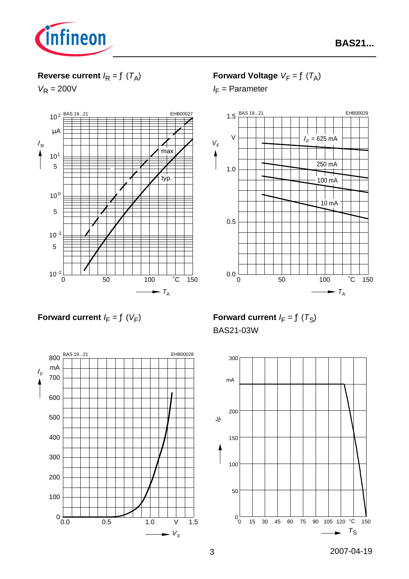

# **Reverse current**  $I_R = f(T_A)$

 $V_R = 200V$ 



**Forward Voltage**  $V_F = f(T_A)$ 

*I*<sub>F</sub> = Parameter



**Forward current**  $I_F = f(V_F)$ 



**Forward current**  $I_F = f(T_S)$ BAS21-03W

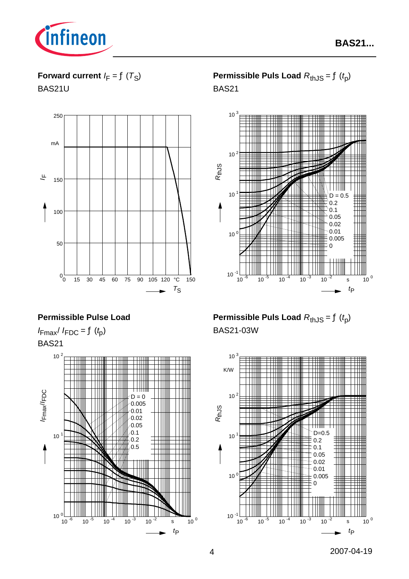

**Forward current**  $I_F = f(T_S)$ 

BAS21U



# **Permissible Pulse Load**

 $I_{\text{Fmax}}/I_{\text{FDC}} = f(t_p)$ BAS21



**Permissible Puls Load**  $R_{th,JS} = f(t_p)$ BAS21



**Permissible Puls Load**  $R_{th,IS} = f(t_0)$ BAS21-03W

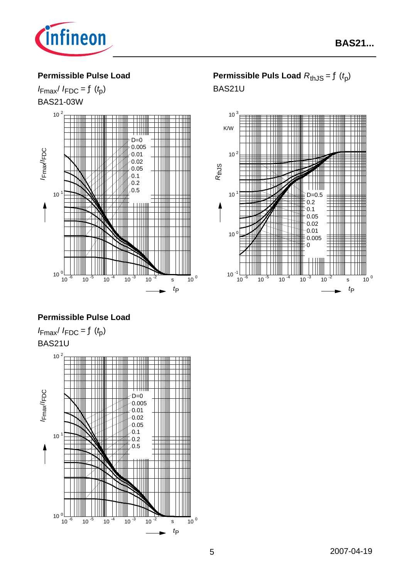

#### **Permissible Pulse Load**

 $I_{\text{Fmax}}/I_{\text{FDC}} = f(t_p)$ BAS21-03W



# **Permissible Pulse Load**

 $I_{\text{Fmax}}/I_{\text{FDC}} = f(t_p)$ BAS21U



**Permissible Puls Load**  $R_{thJS} = f(t_p)$ BAS21U

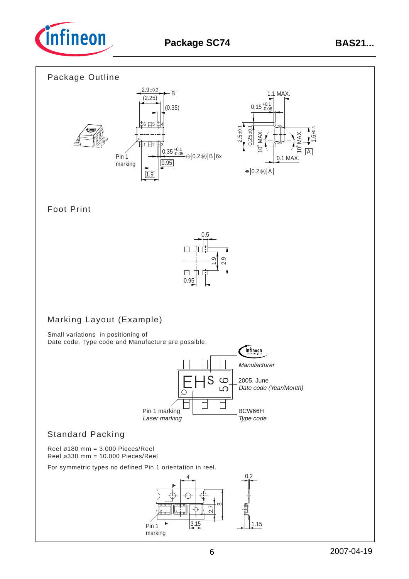

#### Package Outline



### Foot Print



# Marking Layout (Example)

Small variations in positioning of Date code, Type code and Manufacture are possible.



# Standard Packing

Reel ø180 mm = 3.000 Pieces/Reel Reel ø330 mm = 10.000 Pieces/Reel

For symmetric types no defined Pin 1 orientation in reel.

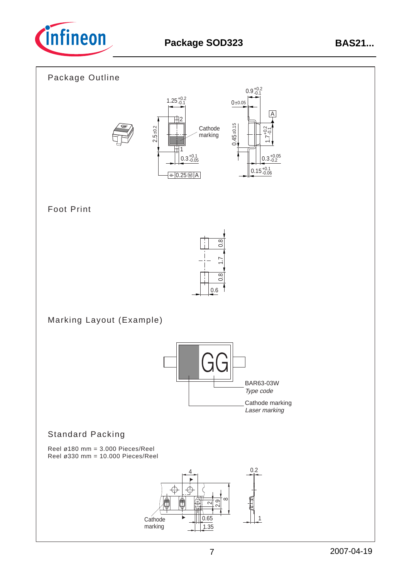

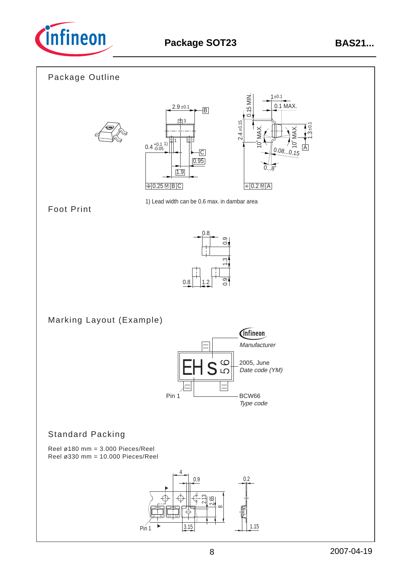



3.15

Pin 1  $\begin{array}{|c|c|c|c|c|}\n\hline\n3.15 & 3.15 \\
\hline\n\end{array}$